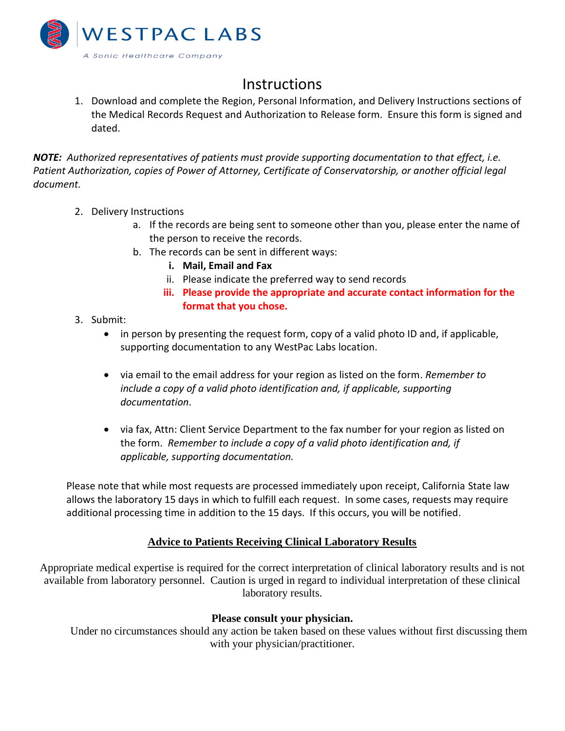

# **Instructions**

1. Download and complete the Region, Personal Information, and Delivery Instructions sections of the Medical Records Request and Authorization to Release form. Ensure this form is signed and dated.

*NOTE: Authorized representatives of patients must provide supporting documentation to that effect, i.e. Patient Authorization, copies of Power of Attorney, Certificate of Conservatorship, or another official legal document.*

- 2. Delivery Instructions
	- a. If the records are being sent to someone other than you, please enter the name of the person to receive the records.
	- b. The records can be sent in different ways:
		- **i. Mail, Email and Fax**
		- ii. Please indicate the preferred way to send records
		- **iii. Please provide the appropriate and accurate contact information for the format that you chose.**
- 3. Submit:
	- in person by presenting the request form, copy of a valid photo ID and, if applicable, supporting documentation to any WestPac Labs location.
	- via email to the email address for your region as listed on the form. *Remember to include a copy of a valid photo identification and, if applicable, supporting documentation*.
	- via fax, Attn: Client Service Department to the fax number for your region as listed on the form. *Remember to include a copy of a valid photo identification and, if applicable, supporting documentation.*

Please note that while most requests are processed immediately upon receipt, California State law allows the laboratory 15 days in which to fulfill each request. In some cases, requests may require additional processing time in addition to the 15 days. If this occurs, you will be notified.

## **Advice to Patients Receiving Clinical Laboratory Results**

Appropriate medical expertise is required for the correct interpretation of clinical laboratory results and is not available from laboratory personnel. Caution is urged in regard to individual interpretation of these clinical laboratory results.

## **Please consult your physician.**

Under no circumstances should any action be taken based on these values without first discussing them with your physician/practitioner.